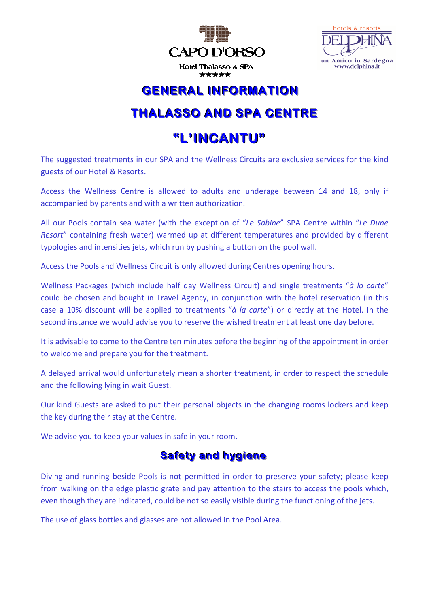



### **GENERAL INFORMATION**

# **THALASSO AND SPA CENTRE**

## **"L''IINCANTU"**

The suggested treatments in our SPA and the Wellness Circuits are exclusive services for the kind guests of our Hotel & Resorts.

Access the Wellness Centre is allowed to adults and underage between 14 and 18, only if accompanied by parents and with a written authorization.

All our Pools contain sea water (with the exception of "*Le Sabine*" SPA Centre within "*Le Dune Resort*" containing fresh water) warmed up at different temperatures and provided by different typologies and intensities jets, which run by pushing a button on the pool wall.

Access the Pools and Wellness Circuit is only allowed during Centres opening hours.

Wellness Packages (which include half day Wellness Circuit) and single treatments "*à la carte*" could be chosen and bought in Travel Agency, in conjunction with the hotel reservation (in this case a 10% discount will be applied to treatments "*à la carte*") or directly at the Hotel. In the second instance we would advise you to reserve the wished treatment at least one day before.

It is advisable to come to the Centre ten minutes before the beginning of the appointment in order to welcome and prepare you for the treatment.

A delayed arrival would unfortunately mean a shorter treatment, in order to respect the schedule and the following lying in wait Guest.

Our kind Guests are asked to put their personal objects in the changing rooms lockers and keep the key during their stay at the Centre.

We advise you to keep your values in safe in your room.

#### **Safety and hygiene**

Diving and running beside Pools is not permitted in order to preserve your safety; please keep from walking on the edge plastic grate and pay attention to the stairs to access the pools which, even though they are indicated, could be not so easily visible during the functioning of the jets.

The use of glass bottles and glasses are not allowed in the Pool Area.